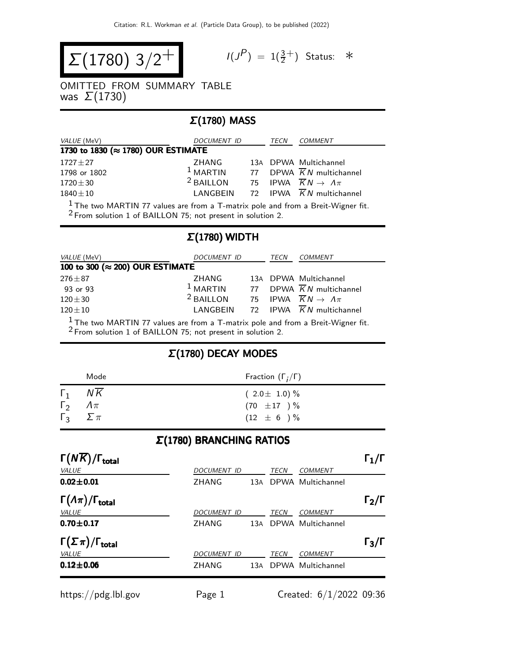$$
\Sigma(1780) 3/2^+
$$

$$
I(J^P) = 1(\frac{3}{2}^+) \quad \text{Status:} \quad *
$$

OMITTED FROM SUMMARY TABLE was  $\Sigma(1730)$ 

## Σ(1780) MASS

| VALUE (MeV)                        | DOCUMENT ID     |  | TECN | COMMENT                                         |  |  |
|------------------------------------|-----------------|--|------|-------------------------------------------------|--|--|
| 1730 to 1830 (≈ 1780) OUR ESTIMATE |                 |  |      |                                                 |  |  |
| $1727 \pm 27$                      | ZHANG           |  |      | 13A DPWA Multichannel                           |  |  |
| 1798 or 1802                       | $1$ MARTIN      |  |      | 77 DPWA $\overline{K}N$ multichannel            |  |  |
| $1720 \pm 30$                      | $2$ BAILLON     |  |      | 75 IPWA $\overline{K}N \rightarrow \Lambda \pi$ |  |  |
| $1840 \pm 10$                      | <b>LANGBEIN</b> |  |      | 72 IPWA KN multichannel                         |  |  |
|                                    |                 |  |      |                                                 |  |  |

 $\frac{1}{2}$ The two MARTIN 77 values are from a T-matrix pole and from a Breit-Wigner fit. <sup>2</sup> From solution 1 of BAILLON 75; not present in solution 2.

## Σ(1780) WIDTH

| <i>VALUE</i> (MeV)                                                                 | DOCUMENT ID |  | TECN | COMMENT                                                  |  |
|------------------------------------------------------------------------------------|-------------|--|------|----------------------------------------------------------|--|
| 100 to 300 (≈ 200) OUR ESTIMATE                                                    |             |  |      |                                                          |  |
| $276 \pm 87$                                                                       | ZHANG       |  |      | 13A DPWA Multichannel                                    |  |
| 93 or 93                                                                           |             |  |      | <sup>1</sup> MARTIN 77 DPWA $\overline{K}N$ multichannel |  |
| $120\pm30$                                                                         | $2$ BAILLON |  |      | 75 IPWA $\overline{K}N \rightarrow \Lambda \pi$          |  |
| $120\pm10$                                                                         | LANGBEIN    |  |      | 72 IPWA $\overline{K}N$ multichannel                     |  |
| $1$ The two MARTIN 77 values are from a T-matrix pole and from a Breit-Wigner fit. |             |  |      |                                                          |  |

2 From solution 1 of BAILLON 75; not present in solution 2.

## Σ(1780) DECAY MODES

|                                                   | Mode | Fraction $(\Gamma_i/\Gamma)$            |
|---------------------------------------------------|------|-----------------------------------------|
| $\Gamma_1$                                        | NK   | $(2.0 \pm 1.0)\%$                       |
| $\Gamma_2 \Lambda \pi$<br>$\Gamma_3$ $\Sigma \pi$ |      | $(70\ \pm 17\ )\,\%$<br>$(12 \pm 6) \%$ |

#### Σ(1780) BRANCHING RATIOS

| $\Gamma(N\overline{K})/\Gamma_{\rm total}$ |                    |     |      |                       | $\mathsf{\Gamma}_1/\mathsf{\Gamma}$ |
|--------------------------------------------|--------------------|-----|------|-----------------------|-------------------------------------|
| VALUE                                      | <b>DOCUMENT ID</b> |     | TECN | <b>COMMENT</b>        |                                     |
| $0.02 \pm 0.01$                            | <b>ZHANG</b>       | 13A |      | DPWA Multichannel     |                                     |
| $\Gamma(\Lambda \pi)/\Gamma_{\rm total}$   |                    |     |      |                       | $\Gamma_2/\Gamma$                   |
| VALUE                                      | DOCUMENT ID        |     | TECN | <b>COMMENT</b>        |                                     |
| $0.70 \pm 0.17$                            | <b>ZHANG</b>       |     |      | 13A DPWA Multichannel |                                     |
| $\Gamma(\Sigma \pi)/\Gamma_{\rm total}$    |                    |     |      |                       | $\Gamma_3/\Gamma$                   |
| VALUE                                      | <b>DOCUMENT ID</b> |     | TECN | <b>COMMENT</b>        |                                     |
| $0.12 \pm 0.06$                            | ZHANG              | 13A |      | DPWA Multichannel     |                                     |
|                                            |                    |     |      |                       |                                     |